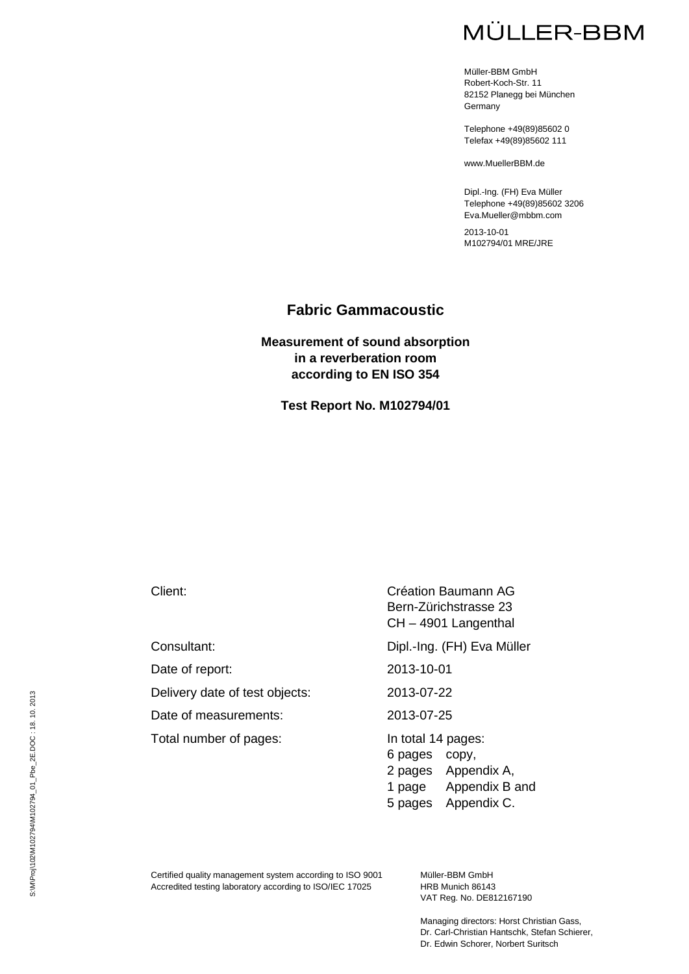# **MÜLLER-BBM**

Müller-BBM GmbH Robert-Koch-Str. 11 82152 Planegg bei München **Germany** 

Telephone +49(89)85602 0 Telefax +49(89)85602 111

www.MuellerBBM.de

Dipl.-Ing. (FH) Eva Müller Telephone +49(89)85602 3206 Eva.Mueller@mbbm.com

2013-10-01 M102794/01 MRE/JRE

### **Fabric Gammacoustic**

### **Measurement of sound absorption in a reverberation room according to EN ISO 354**

**Test Report No. M102794/01**

Consultant: Dipl.-Ing. (FH) Eva Müller Date of report: 2013-10-01 Delivery date of test objects: 2013-07-22 Date of measurements: 2013-07-25 Total number of pages: In total 14 pages:

Client: Création Baumann AG Bern-Zürichstrasse 23 CH – 4901 Langenthal

6 pages copy, 2 pages Appendix A, 1 page Appendix B and 5 pages Appendix C.

Certified quality management system according to ISO 9001 Accredited testing laboratory according to ISO/IEC 17025

Müller-BBM GmbH HRB Munich 86143 VAT Reg. No. DE812167190

Managing directors: Horst Christian Gass, Dr. Carl-Christian Hantschk, Stefan Schierer, Dr. Edwin Schorer, Norbert Suritsch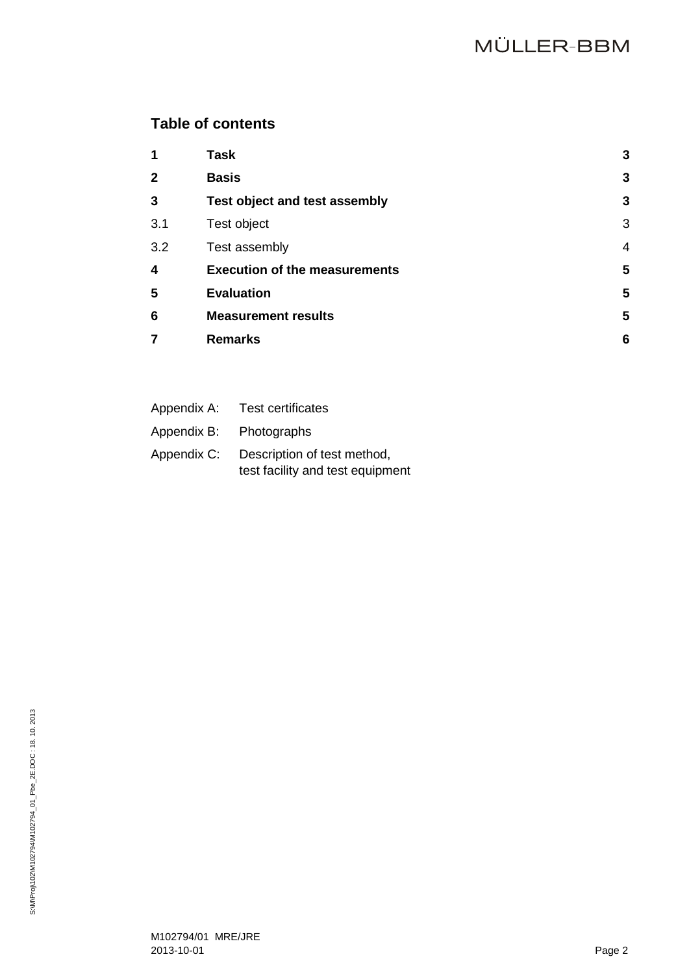## **Table of contents**

| 1            | <b>Task</b>                          | 3              |
|--------------|--------------------------------------|----------------|
| $\mathbf{2}$ | <b>Basis</b>                         | 3              |
| 3            | <b>Test object and test assembly</b> | 3              |
| 3.1          | Test object                          | 3              |
| 3.2          | Test assembly                        | $\overline{4}$ |
| 4            | <b>Execution of the measurements</b> | 5              |
| 5            | <b>Evaluation</b>                    | 5              |
| 6            | <b>Measurement results</b>           | 5              |
| 7            | <b>Remarks</b>                       | 6              |
|              |                                      |                |

| Appendix A: | <b>Test certificates</b>                                        |
|-------------|-----------------------------------------------------------------|
| Appendix B: | Photographs                                                     |
| Appendix C: | Description of test method,<br>test facility and test equipment |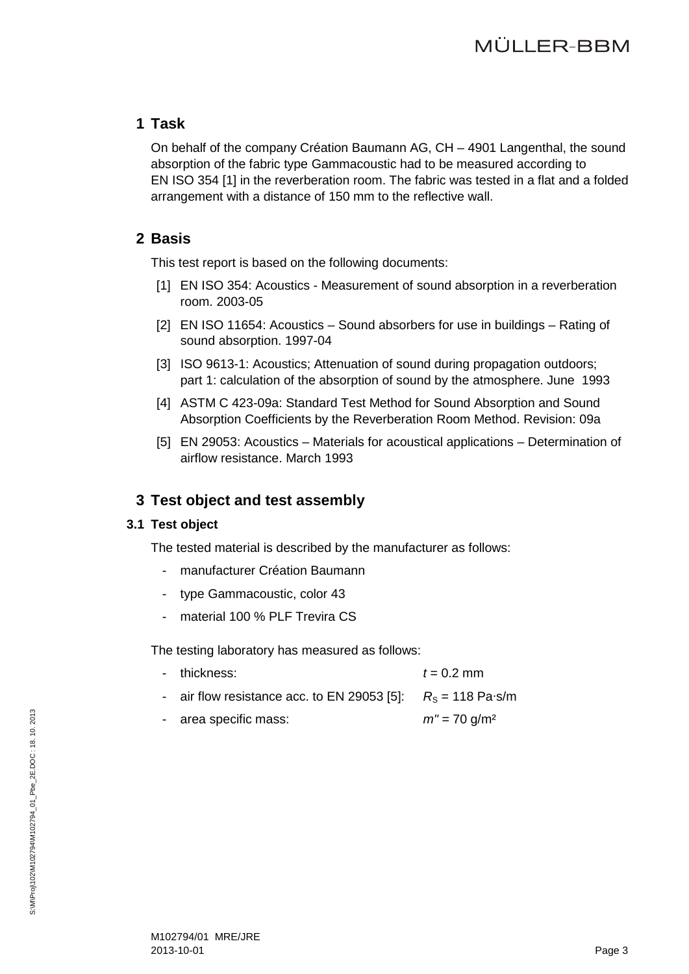## <span id="page-2-0"></span>**1 Task**

On behalf of the company Création Baumann AG, CH – 4901 Langenthal, the sound absorption of the fabric type Gammacoustic had to be measured according to EN ISO 354 [\[1\]](#page-2-4) in the reverberation room. The fabric was tested in a flat and a folded arrangement with a distance of 150 mm to the reflective wall.

## <span id="page-2-4"></span><span id="page-2-1"></span>**2 Basis**

This test report is based on the following documents:

- [1] EN ISO 354: Acoustics Measurement of sound absorption in a reverberation room. 2003-05
- <span id="page-2-6"></span>[2] EN ISO 11654: Acoustics – Sound absorbers for use in buildings – Rating of sound absorption. 1997-04
- <span id="page-2-8"></span>[3] ISO 9613-1: Acoustics; Attenuation of sound during propagation outdoors; part 1: calculation of the absorption of sound by the atmosphere. June 1993
- <span id="page-2-7"></span>[4] ASTM C 423-09a: Standard Test Method for Sound Absorption and Sound Absorption Coefficients by the Reverberation Room Method. Revision: 09a
- [5] EN 29053: Acoustics Materials for acoustical applications Determination of airflow resistance. March 1993

## <span id="page-2-5"></span><span id="page-2-2"></span>**3 Test object and test assembly**

### <span id="page-2-3"></span>**3.1 Test object**

The tested material is described by the manufacturer as follows:

- manufacturer Création Baumann
- type Gammacoustic, color 43
- material 100 % PLF Trevira CS

The testing laboratory has measured as follows:

- $-t$  thickness:  $t = 0.2$  mm
- air flow resistance acc. to EN 29053 [\[5\]:](#page-2-5)  $R_S = 118$  Pa⋅s/m
	- area specific mass: *m''* = 70 g/m<sup>2</sup>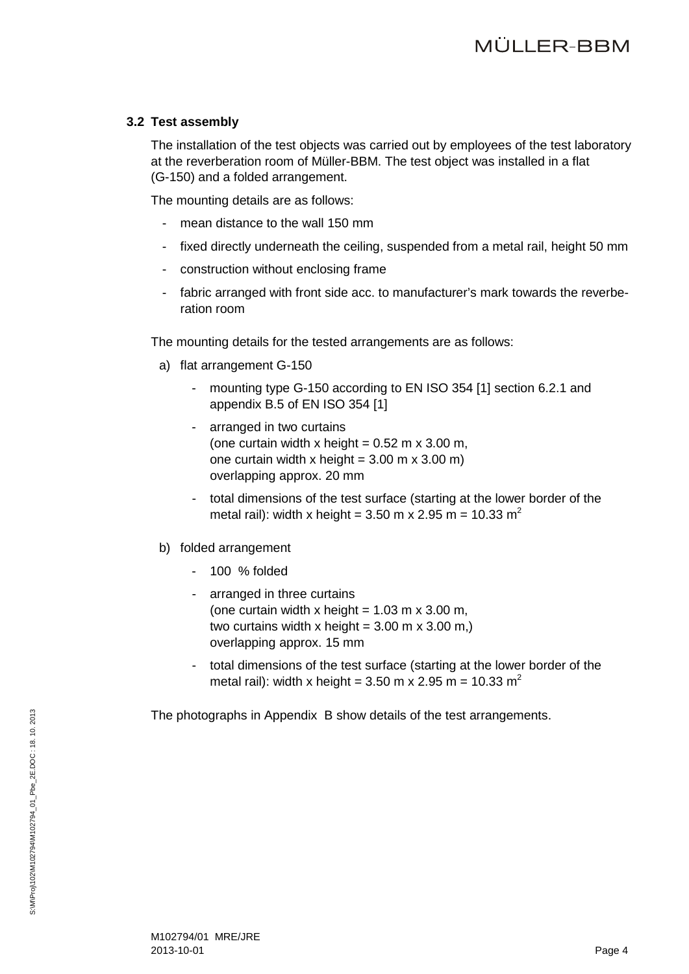### <span id="page-3-0"></span>**3.2 Test assembly**

The installation of the test objects was carried out by employees of the test laboratory at the reverberation room of Müller-BBM. The test object was installed in a flat (G-150) and a folded arrangement.

The mounting details are as follows:

- mean distance to the wall 150 mm
- fixed directly underneath the ceiling, suspended from a metal rail, height 50 mm
- construction without enclosing frame
- fabric arranged with front side acc. to manufacturer's mark towards the reverberation room

The mounting details for the tested arrangements are as follows:

- a) flat arrangement G-150
	- mounting type G-150 according to EN ISO 354 [\[1\]](#page-2-4) section 6.2.1 and appendix B.5 of EN ISO 354 [\[1\]](#page-2-4)
	- arranged in two curtains (one curtain width x height =  $0.52$  m x 3.00 m, one curtain width x height =  $3.00 \text{ m}$  x  $3.00 \text{ m}$ ) overlapping approx. 20 mm
	- total dimensions of the test surface (starting at the lower border of the metal rail): width x height =  $3.50$  m x  $2.95$  m =  $10.33$  m<sup>2</sup>
- b) folded arrangement
	- 100 % folded
	- arranged in three curtains (one curtain width x height =  $1.03$  m x  $3.00$  m, two curtains width x height =  $3.00$  m x  $3.00$  m,) overlapping approx. 15 mm
	- total dimensions of the test surface (starting at the lower border of the metal rail): width x height =  $3.50$  m x  $2.95$  m =  $10.33$  m<sup>2</sup>

The photographs in Appendix B show details of the test arrangements.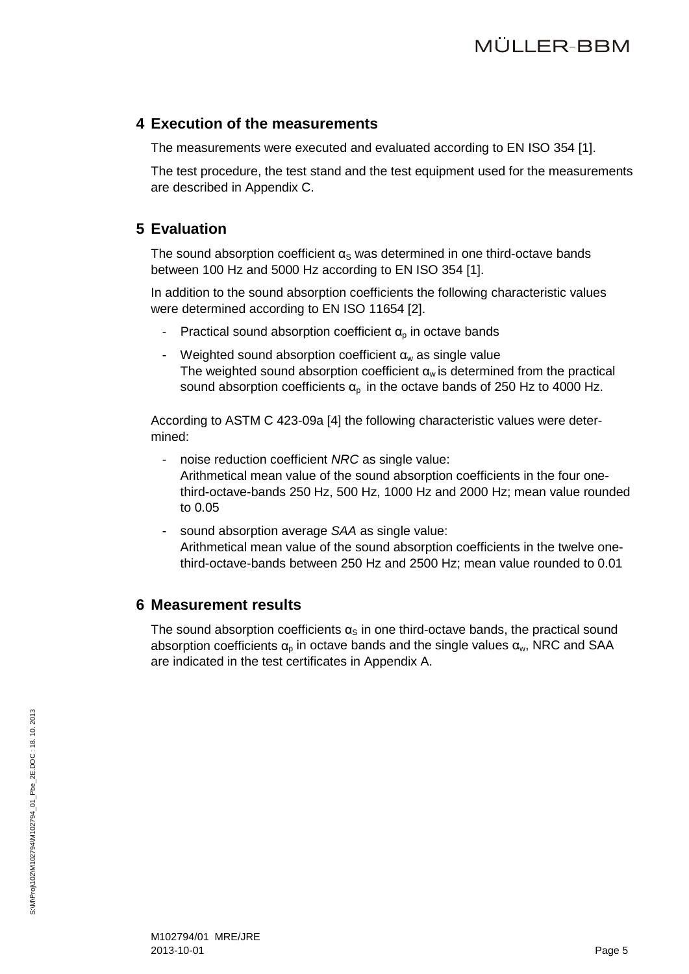## <span id="page-4-0"></span>**4 Execution of the measurements**

The measurements were executed and evaluated according to EN ISO 354 [\[1\].](#page-2-4)

The test procedure, the test stand and the test equipment used for the measurements are described in Appendix C.

## <span id="page-4-1"></span>**5 Evaluation**

The sound absorption coefficient  $\alpha_S$  was determined in one third-octave bands between 100 Hz and 5000 Hz according to EN ISO 354 [\[1\].](#page-2-4)

In addition to the sound absorption coefficients the following characteristic values were determined according to EN ISO 11654 [\[2\].](#page-2-6)

- Practical sound absorption coefficient  $\alpha_{p}$  in octave bands
- Weighted sound absorption coefficient  $\alpha_w$  as single value The weighted sound absorption coefficient  $\alpha_w$  is determined from the practical sound absorption coefficients  $\alpha_p$  in the octave bands of 250 Hz to 4000 Hz.

According to ASTM C 423-09a [\[4\]](#page-2-7) the following characteristic values were determined:

- noise reduction coefficient *NRC* as single value: Arithmetical mean value of the sound absorption coefficients in the four onethird-octave-bands 250 Hz, 500 Hz, 1000 Hz and 2000 Hz; mean value rounded to 0.05
- sound absorption average *SAA* as single value: Arithmetical mean value of the sound absorption coefficients in the twelve onethird-octave-bands between 250 Hz and 2500 Hz; mean value rounded to 0.01

## <span id="page-4-2"></span>**6 Measurement results**

The sound absorption coefficients  $\alpha_s$  in one third-octave bands, the practical sound absorption coefficients  $\alpha_{p}$  in octave bands and the single values  $\alpha_{w}$ , NRC and SAA are indicated in the test certificates in Appendix A.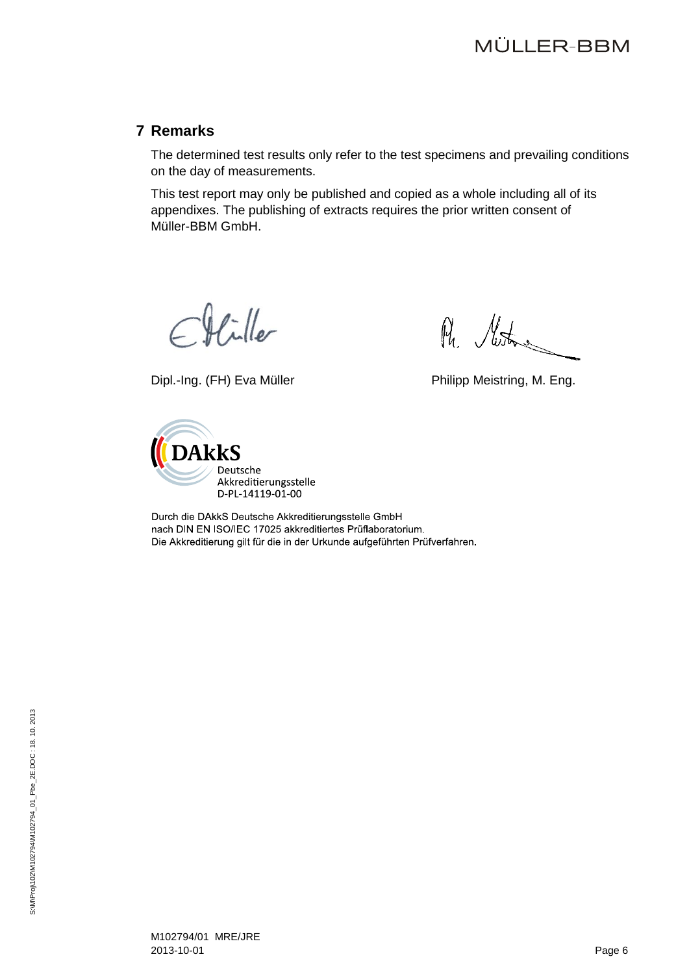## <span id="page-5-0"></span>**7 Remarks**

The determined test results only refer to the test specimens and prevailing conditions on the day of measurements.

This test report may only be published and copied as a whole including all of its appendixes. The publishing of extracts requires the prior written consent of Müller-BBM GmbH.

 $\mathcal{H}$ iller

Dipl.-Ing. (FH) Eva Müller **Philipp Meistring, M. Eng.** 

Ru. Muston



Durch die DAkkS Deutsche Akkreditierungsstelle GmbH nach DIN EN ISO/IEC 17025 akkreditiertes Prüflaboratorium. Die Akkreditierung gilt für die in der Urkunde aufgeführten Prüfverfahren.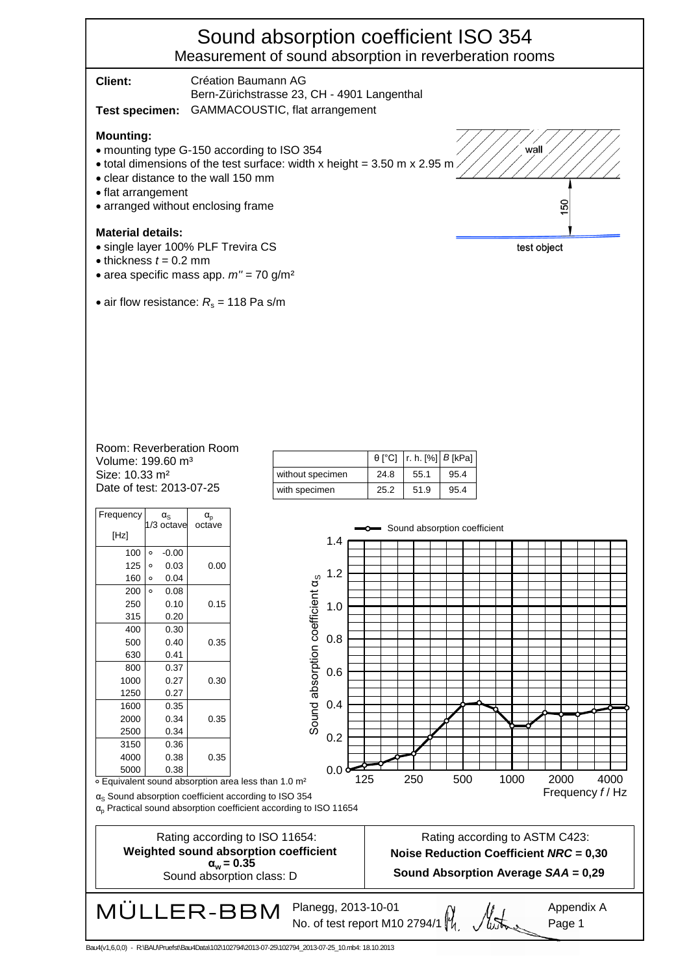## Sound absorption coefficient ISO 354 Measurement of sound absorption in reverberation rooms

|                                                                                                                                                                                                                                                               | ,,,,,,,,,,,,                          |                                         |             |              |  |
|---------------------------------------------------------------------------------------------------------------------------------------------------------------------------------------------------------------------------------------------------------------|---------------------------------------|-----------------------------------------|-------------|--------------|--|
| Client:<br>Création Baumann AG                                                                                                                                                                                                                                |                                       |                                         |             |              |  |
| Bern-Zürichstrasse 23, CH - 4901 Langenthal<br>Test specimen: GAMMACOUSTIC, flat arrangement                                                                                                                                                                  |                                       |                                         |             |              |  |
| <b>Mounting:</b><br>wall<br>• mounting type G-150 according to ISO 354<br>• total dimensions of the test surface: width x height = 3.50 m x 2.95 m.<br>• clear distance to the wall 150 mm<br>• flat arrangement<br>150<br>• arranged without enclosing frame |                                       |                                         |             |              |  |
| <b>Material details:</b><br>· single layer 100% PLF Trevira CS<br>test object<br>$\bullet$ thickness $t = 0.2$ mm<br>• area specific mass app. $m'' = 70$ g/m <sup>2</sup>                                                                                    |                                       |                                         |             |              |  |
| • air flow resistance: $R_s$ = 118 Pa s/m                                                                                                                                                                                                                     |                                       |                                         |             |              |  |
|                                                                                                                                                                                                                                                               |                                       |                                         |             |              |  |
| Room: Reverberation Room                                                                                                                                                                                                                                      |                                       |                                         |             |              |  |
| Volume: 199.60 m <sup>3</sup>                                                                                                                                                                                                                                 |                                       | $\theta$ [°C]<br>$ r. h. [\%]   B[kPa]$ |             |              |  |
| Size: 10.33 m <sup>2</sup><br>Date of test: 2013-07-25                                                                                                                                                                                                        | without specimen                      | 55.1<br>24.8                            | 95.4        |              |  |
|                                                                                                                                                                                                                                                               | with specimen                         | 25.2<br>51.9                            | 95.4        |              |  |
| Frequency<br>$\alpha_{\rm s}$<br>$\alpha_{\rm p}$                                                                                                                                                                                                             |                                       |                                         |             |              |  |
| 1/3 octave<br>octave<br>[Hz]                                                                                                                                                                                                                                  |                                       | Sound absorption coefficient            |             |              |  |
| $-0.00$<br>100   ∘                                                                                                                                                                                                                                            | 1.4                                   |                                         |             |              |  |
| $125$ $\circ$<br>0.00<br>0.03                                                                                                                                                                                                                                 |                                       |                                         |             |              |  |
| $160$ $\circ$<br>0.04                                                                                                                                                                                                                                         | 0, 1.2                                |                                         |             |              |  |
| 200<br>$\circ$<br>0.08<br>250<br>0.10<br>0.15                                                                                                                                                                                                                 |                                       |                                         |             |              |  |
| 315<br>0.20                                                                                                                                                                                                                                                   | 1.0                                   |                                         |             |              |  |
| 0.30<br>400                                                                                                                                                                                                                                                   |                                       |                                         |             |              |  |
| 0.40<br>0.35<br>500                                                                                                                                                                                                                                           | 0.8                                   |                                         |             |              |  |
| 630<br>0.41<br>800<br>0.37                                                                                                                                                                                                                                    |                                       |                                         |             |              |  |
| 1000<br>0.27<br>0.30                                                                                                                                                                                                                                          | 0.6                                   |                                         |             |              |  |
| 1250<br>0.27                                                                                                                                                                                                                                                  |                                       |                                         |             |              |  |
| 1600<br>0.35                                                                                                                                                                                                                                                  | Sound absorption coefficient a<br>0.4 |                                         |             |              |  |
| 2000<br>0.34<br>0.35<br>2500<br>0.34                                                                                                                                                                                                                          |                                       |                                         |             |              |  |
| 3150<br>0.36                                                                                                                                                                                                                                                  | 0.2                                   |                                         |             |              |  |
| 0.38<br>4000<br>0.35                                                                                                                                                                                                                                          |                                       |                                         |             |              |  |
| 5000<br>0.38<br>○ Equivalent sound absorption area less than 1.0 m <sup>2</sup>                                                                                                                                                                               | 0.0 <sub>q</sub><br>125               | 250                                     | 1000<br>500 | 2000<br>4000 |  |
| Frequency f/Hz<br>$\alpha_{\rm s}$ Sound absorption coefficient according to ISO 354<br>$\alpha_{\text{p}}$ Practical sound absorption coefficient according to ISO 11654                                                                                     |                                       |                                         |             |              |  |
| Rating according to ASTM C423:<br>Rating according to ISO 11654:<br>Weighted sound absorption coefficient<br><b>Noise Reduction Coefficient NRC = 0,30</b><br>$\alpha_w = 0.35$<br>Sound Absorption Average SAA = 0,29<br>Sound absorption class: D           |                                       |                                         |             |              |  |
| MÜLLER-BBM<br>Planegg, 2013-10-01<br>Appendix A<br>No. of test report M10 2794/1 $\frac{M}{4}$<br>Page 1<br>R:\RAI NPrugfet\Rau/IData\102\102204\2013_07_25\102704_2013_07_25_10.mb4;_18_10_2013<br>Baudívit 6.0.0)                                           |                                       |                                         |             |              |  |

794\2013-07-25\102794\_2013-07-25\_10.mb4: 18.10.2013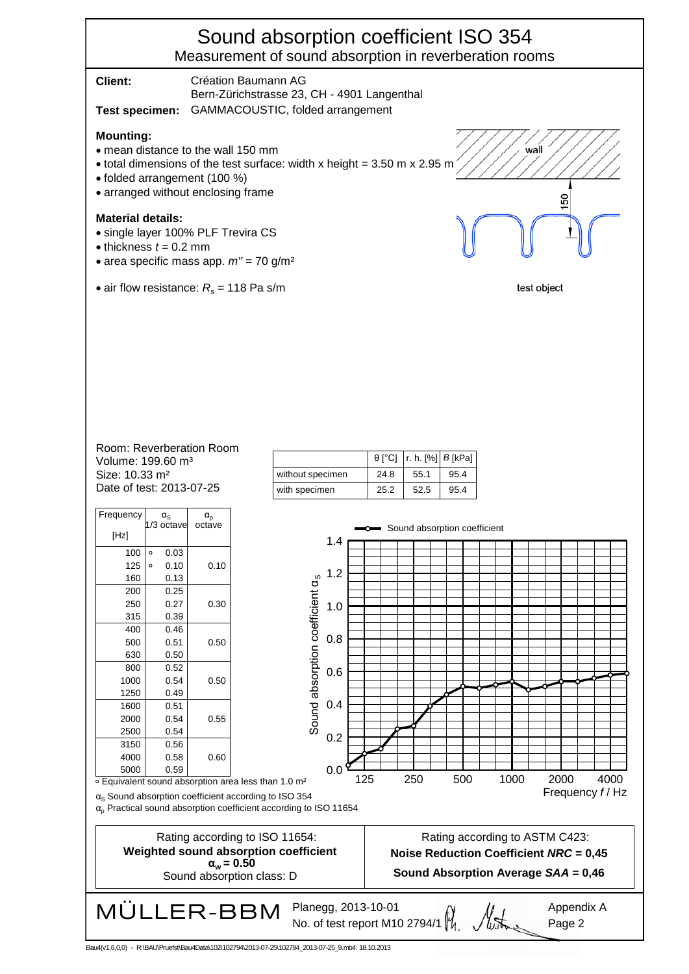## Sound absorption coefficient ISO 354 Measurement of sound absorption in reverberation rooms

**Client:** Création Baumann AG Bern-Zürichstrasse 23, CH - 4901 Langenthal **Test specimen:** GAMMACOUSTIC, folded arrangement

#### **Mounting:**

- mean distance to the wall 150 mm
- $\bullet$  total dimensions of the test surface: width x height = 3.50 m x 2.95 m
- folded arrangement (100 %)
- arranged without enclosing frame

#### **Material details:**

- single layer 100% PLF Trevira CS
- $\bullet$  thickness  $t = 0.2$  mm
- area specific mass app. *m''* = 70 g/m²
- air flow resistance:  $R_s = 118$  Pa s/m

test object

wall

ន

#### Date of test: 2013-07-25. Size: 10.33 m² Volume: 199.60 m³ Room: Reverberation Room

| Frequency<br>[Hz]       |         | $\alpha_{\rm S}$<br>1/3 octave | $\alpha_{\text{\tiny D}}$<br>octave |
|-------------------------|---------|--------------------------------|-------------------------------------|
| 100                     | $\circ$ | 0.03                           |                                     |
| 125                     | $\circ$ | 0.10                           | 0.10                                |
| 160                     |         | 0.13                           |                                     |
| 200                     |         | 0.25                           |                                     |
| 250                     |         | 0.27                           | 0.30                                |
| 315                     |         | 0.39                           |                                     |
| 400                     |         | 0.46                           |                                     |
| 500                     |         | 0.51                           | 0.50                                |
| 630                     |         | 0.50                           |                                     |
| 800                     |         | 0.52                           |                                     |
| 1000                    |         | 0.54                           | 0.50                                |
| 1250                    |         | 0.49                           |                                     |
| 1600                    |         | 0.51                           |                                     |
| 2000                    |         | 0.54                           | 0.55                                |
| 2500                    |         | 0.54                           |                                     |
| 3150                    |         | 0.56                           |                                     |
| 4000                    |         | 0.58                           | 0.60                                |
| 5000<br>Н.<br>المعاصرات |         | 0.59<br>ᆋᆋ                     | mlim                                |

|                  |      | $\theta$ [°C]   r. h. [%]   <i>B</i> [kPa] |      |
|------------------|------|--------------------------------------------|------|
| without specimen | 24.8 | 55.1                                       | 95.4 |
| with specimen    | 25.2 | 52.5                                       | 95.4 |

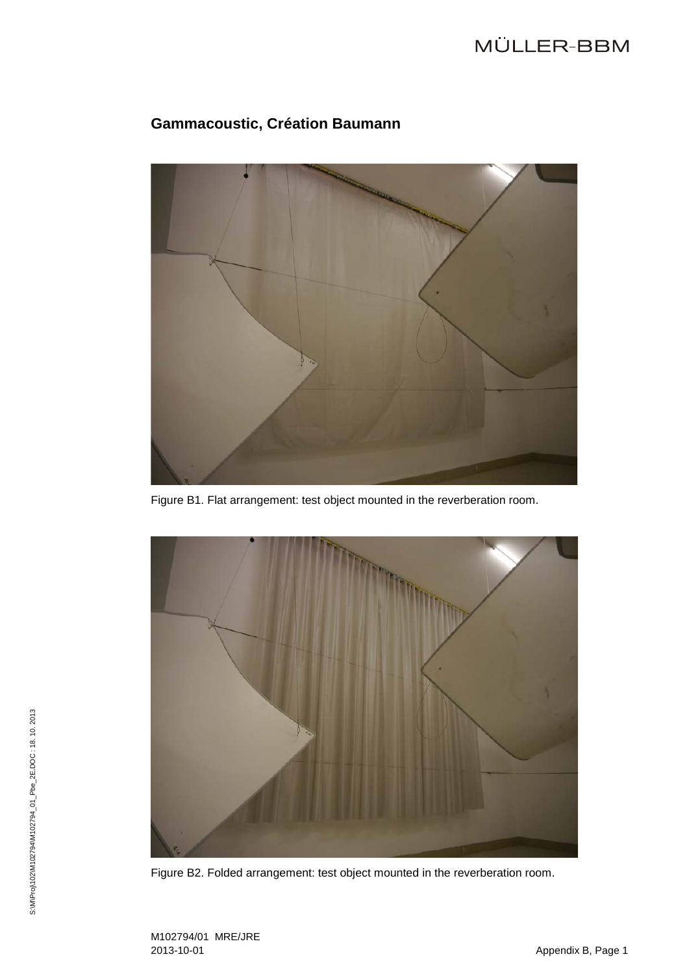# MÜLLER-BBM



## **Gammacoustic, Création Baumann**

Figure B1. Flat arrangement: test object mounted in the reverberation room.



Figure B2. Folded arrangement: test object mounted in the reverberation room.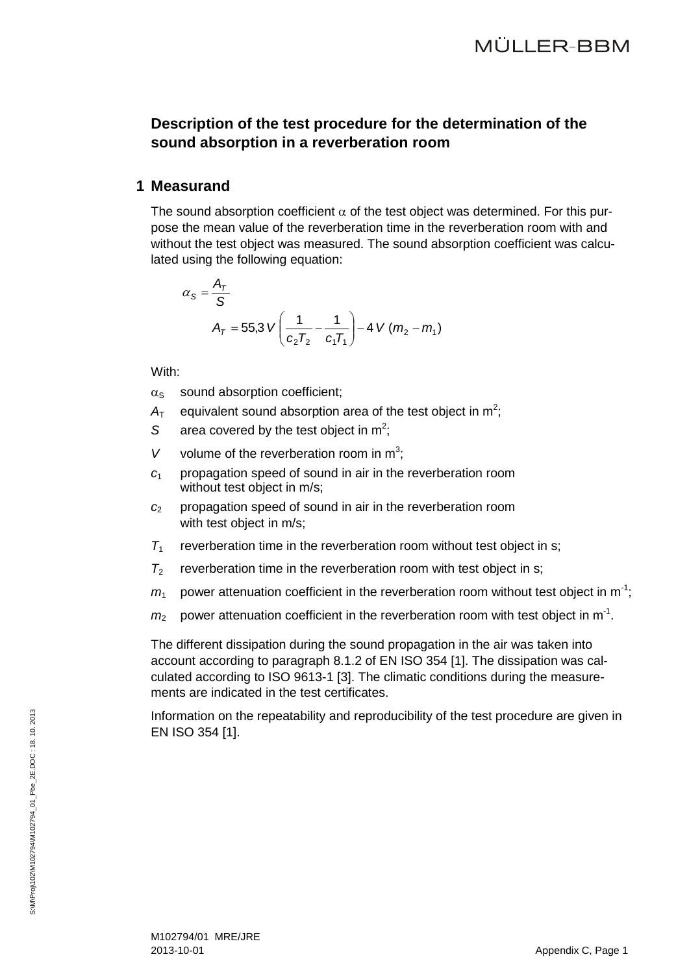## **Description of the test procedure for the determination of the sound absorption in a reverberation room**

### **1 Measurand**

The sound absorption coefficient  $\alpha$  of the test object was determined. For this purpose the mean value of the reverberation time in the reverberation room with and without the test object was measured. The sound absorption coefficient was calculated using the following equation:

$$
\alpha_{S} = \frac{A_{T}}{S}
$$
  

$$
A_{T} = 55.3 \text{ V} \left( \frac{1}{c_{2}T_{2}} - \frac{1}{c_{1}T_{1}} \right) - 4 \text{ V} (m_{2} - m_{1})
$$

With:

- $\alpha_s$  sound absorption coefficient:
- $A<sub>T</sub>$  equivalent sound absorption area of the test object in m<sup>2</sup>;
- S area covered by the test object in  $m^2$ ;
- V volume of the reverberation room in  $m^3$ ;
- *c*<sup>1</sup> propagation speed of sound in air in the reverberation room without test object in m/s;
- *c*<sup>2</sup> propagation speed of sound in air in the reverberation room with test object in m/s;
- $T_1$  reverberation time in the reverberation room without test object in s;
- $T_2$  reverberation time in the reverberation room with test object in s;
- $m_1$  power attenuation coefficient in the reverberation room without test object in m<sup>-1</sup>;
- $m_2$  power attenuation coefficient in the reverberation room with test object in m<sup>-1</sup>.

The different dissipation during the sound propagation in the air was taken into account according to paragraph 8.1.2 of EN ISO 354 [\[1\].](#page-2-4) The dissipation was calculated according to ISO 9613-1 [\[3\].](#page-2-8) The climatic conditions during the measurements are indicated in the test certificates.

Information on the repeatability and reproducibility of the test procedure are given in EN ISO 354 [\[1\].](#page-2-4)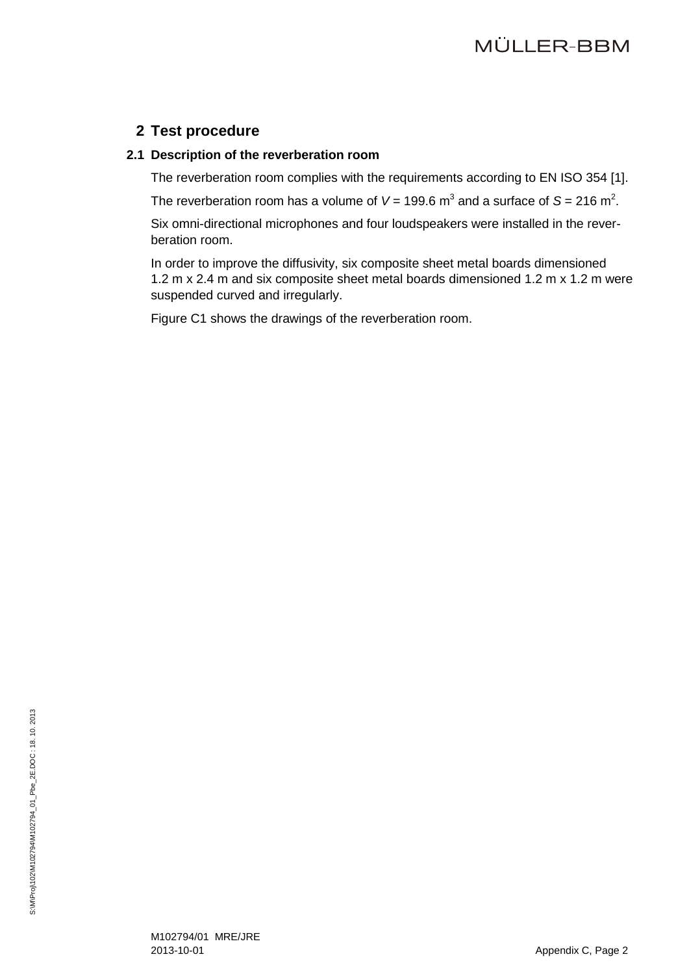## **2 Test procedure**

### **2.1 Description of the reverberation room**

The reverberation room complies with the requirements according to EN ISO 354 [\[1\].](#page-2-4)

The reverberation room has a volume of  $V = 199.6$  m<sup>3</sup> and a surface of S = 216 m<sup>2</sup>.

Six omni-directional microphones and four loudspeakers were installed in the reverberation room.

In order to improve the diffusivity, six composite sheet metal boards dimensioned 1.2 m x 2.4 m and six composite sheet metal boards dimensioned 1.2 m x 1.2 m were suspended curved and irregularly.

Figure C1 shows the drawings of the reverberation room.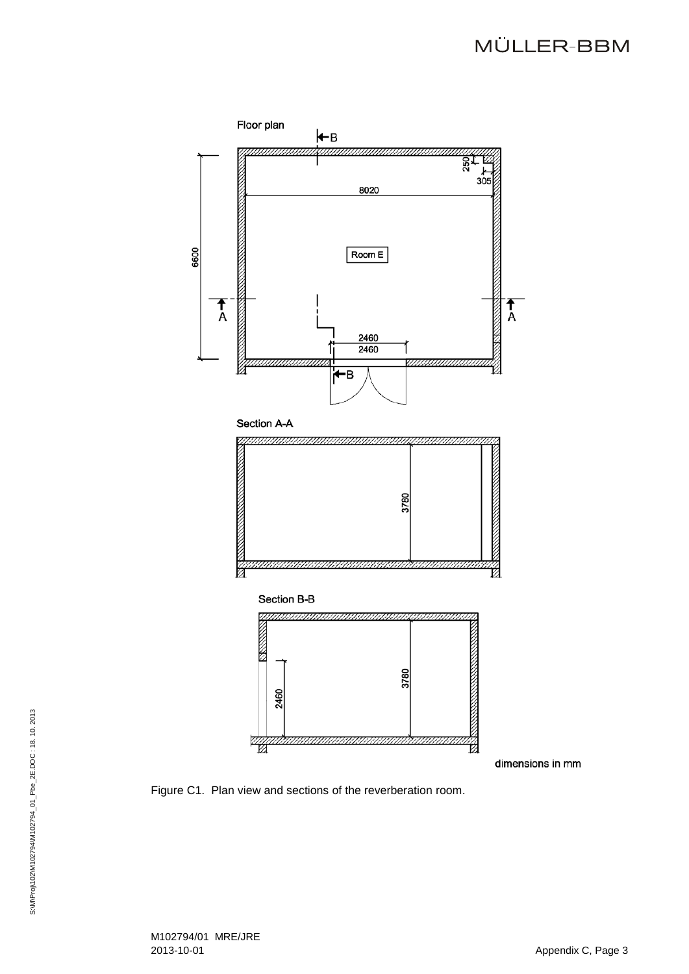# MÜLLER-BBM



Figure C1. Plan view and sections of the reverberation room .

M102794/01 MRE/JRE 2013 -10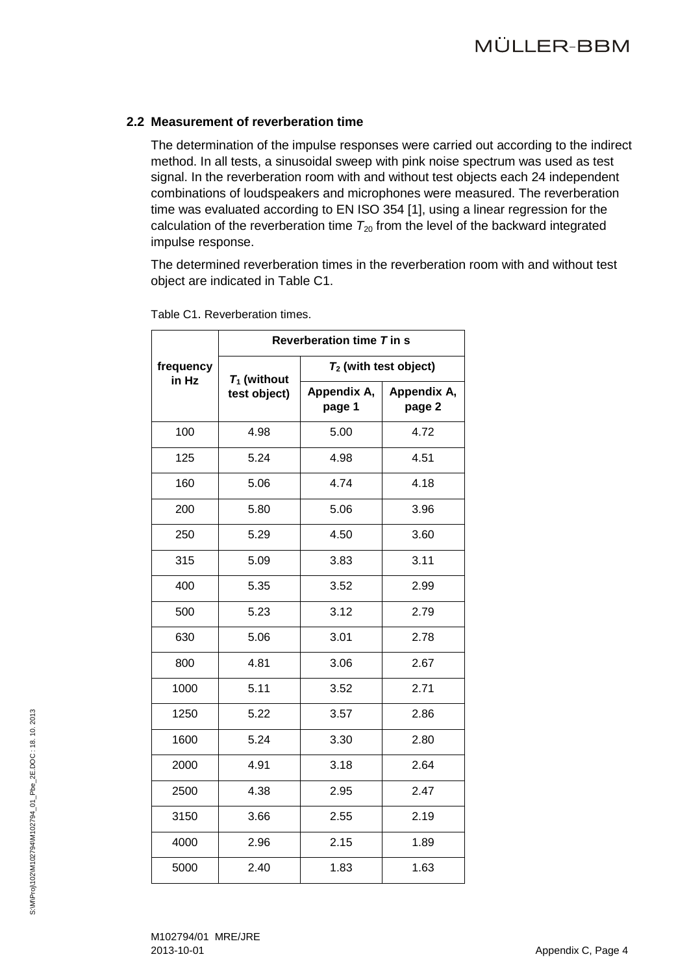### **2.2 Measurement of reverberation time**

The determination of the impulse responses were carried out according to the indirect method. In all tests, a sinusoidal sweep with pink noise spectrum was used as test signal. In the reverberation room with and without test objects each 24 independent combinations of loudspeakers and microphones were measured. The reverberation time was evaluated according to EN ISO 354 [\[1\],](#page-2-4) using a linear regression for the calculation of the reverberation time  $T_{20}$  from the level of the backward integrated impulse response.

The determined reverberation times in the reverberation room with and without test object are indicated in Table C1.

|                    |                                | Reverberation time T in s |                       |  |  |
|--------------------|--------------------------------|---------------------------|-----------------------|--|--|
| frequency<br>in Hz | $T_1$ (without<br>test object) | $T_2$ (with test object)  |                       |  |  |
|                    |                                | Appendix A,<br>page 1     | Appendix A,<br>page 2 |  |  |
| 100                | 4.98                           | 5.00                      | 4.72                  |  |  |
| 125                | 5.24                           | 4.98                      | 4.51                  |  |  |
| 160                | 5.06                           | 4.74                      | 4.18                  |  |  |
| 200                | 5.80                           | 5.06                      | 3.96                  |  |  |
| 250                | 5.29                           | 4.50                      | 3.60                  |  |  |
| 315                | 5.09                           | 3.83                      | 3.11                  |  |  |
| 400                | 5.35                           | 3.52                      | 2.99                  |  |  |
| 500                | 5.23                           | 3.12                      | 2.79                  |  |  |
| 630                | 5.06                           | 3.01                      | 2.78                  |  |  |
| 800                | 4.81                           | 3.06                      | 2.67                  |  |  |
| 1000               | 5.11                           | 3.52                      | 2.71                  |  |  |
| 1250               | 5.22                           | 3.57                      | 2.86                  |  |  |
| 1600               | 5.24                           | 3.30                      | 2.80                  |  |  |
| 2000               | 4.91                           | 3.18                      | 2.64                  |  |  |
| 2500               | 4.38                           | 2.95                      | 2.47                  |  |  |
| 3150               | 3.66                           | 2.55                      | 2.19                  |  |  |
| 4000               | 2.96                           | 2.15                      | 1.89                  |  |  |
| 5000               | 2.40                           | 1.83                      | 1.63                  |  |  |

Table C1. Reverberation times.